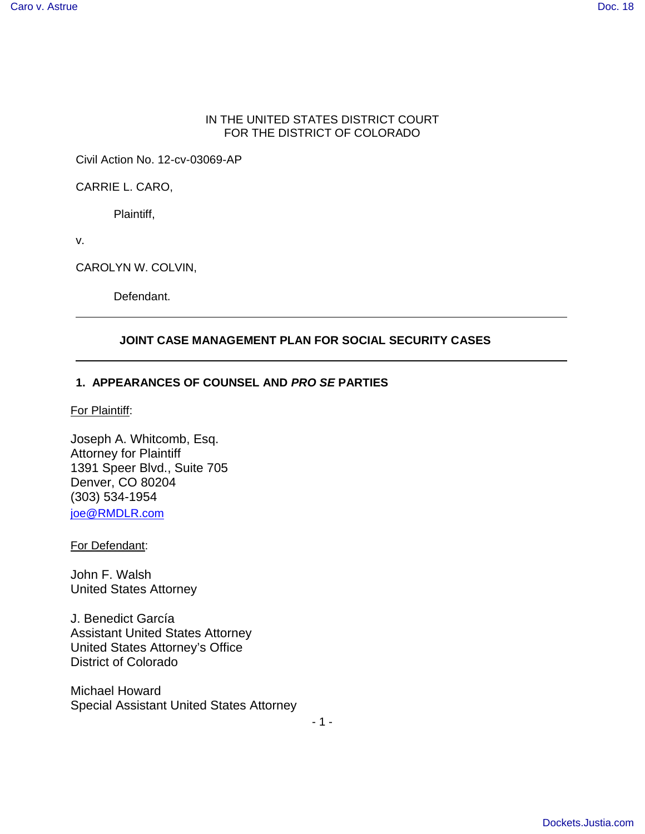#### IN THE UNITED STATES DISTRICT COURT FOR THE DISTRICT OF COLORADO

Civil Action No. 12-cv-03069-AP

CARRIE L. CARO,

Plaintiff,

v.

CAROLYN W. COLVIN,

Defendant.

#### **JOINT CASE MANAGEMENT PLAN FOR SOCIAL SECURITY CASES**

#### **1. APPEARANCES OF COUNSEL AND PRO SE PARTIES**

For Plaintiff:

Joseph A. Whitcomb, Esq. Attorney for Plaintiff 1391 Speer Blvd., Suite 705 Denver, CO 80204 (303) 534-1954 joe@RMDLR.com

For Defendant:

John F. Walsh United States Attorney

J. Benedict García Assistant United States Attorney United States Attorney's Office District of Colorado

Michael Howard Special Assistant United States Attorney

- 1 -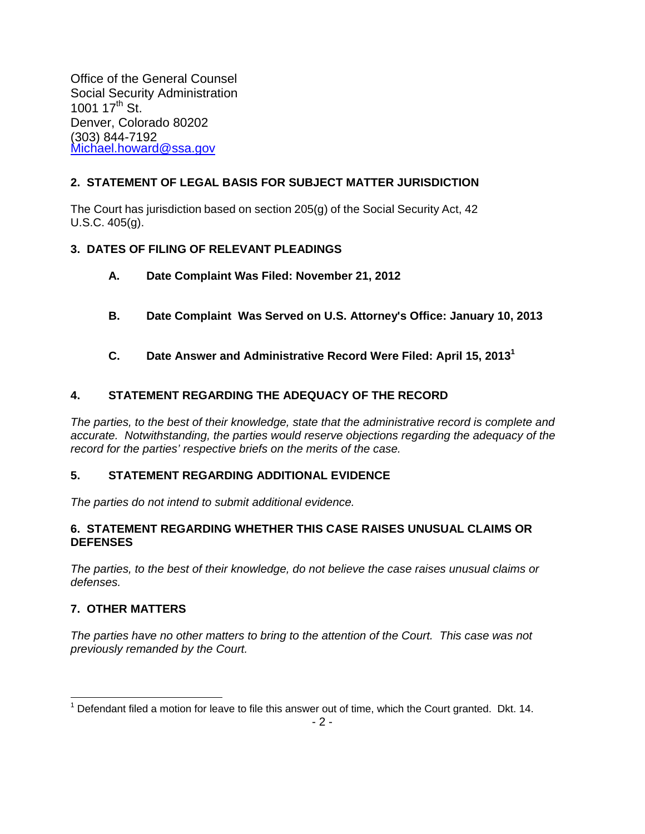Office of the General Counsel Social Security Administration 1001 17<sup>th</sup> St. Denver, Colorado 80202 (303) 844-7192 Michael.howard@ssa.gov

# **2. STATEMENT OF LEGAL BASIS FOR SUBJECT MATTER JURISDICTION**

The Court has jurisdiction based on section 205(g) of the Social Security Act, 42 U.S.C. 405(g).

# **3. DATES OF FILING OF RELEVANT PLEADINGS**

- **A. Date Complaint Was Filed: November 21, 2012**
- **B. Date Complaint Was Served on U.S. Attorney's Office: January 10, 2013**
- **C. Date Answer and Administrative Record Were Filed: April 15, 2013<sup>1</sup>**

# **4. STATEMENT REGARDING THE ADEQUACY OF THE RECORD**

The parties, to the best of their knowledge, state that the administrative record is complete and accurate. Notwithstanding, the parties would reserve objections regarding the adequacy of the record for the parties' respective briefs on the merits of the case.

# **5. STATEMENT REGARDING ADDITIONAL EVIDENCE**

The parties do not intend to submit additional evidence.

#### **6. STATEMENT REGARDING WHETHER THIS CASE RAISES UNUSUAL CLAIMS OR DEFENSES**

The parties, to the best of their knowledge, do not believe the case raises unusual claims or defenses.

# **7. OTHER MATTERS**

The parties have no other matters to bring to the attention of the Court. This case was not previously remanded by the Court.

<sup>1</sup>  $1$  Defendant filed a motion for leave to file this answer out of time, which the Court granted. Dkt. 14.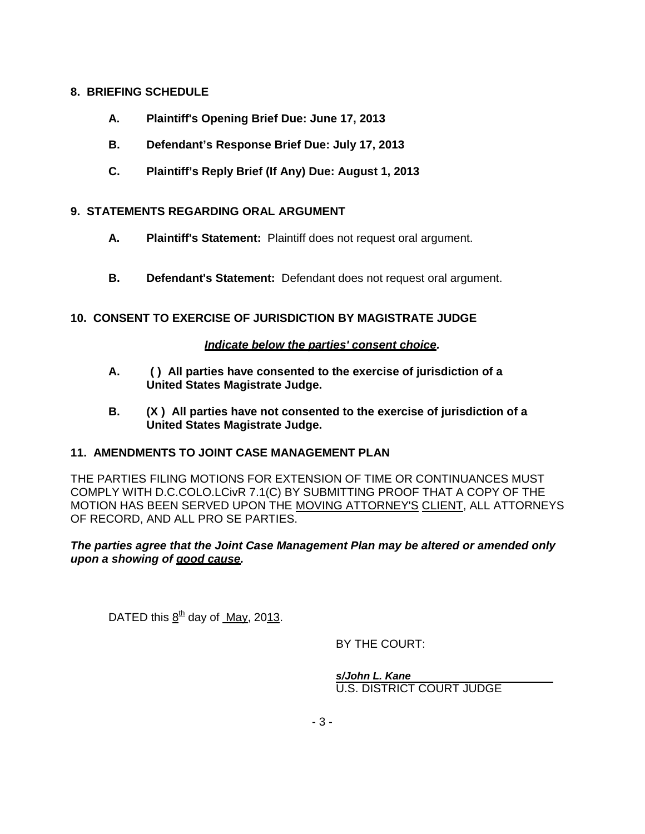#### **8. BRIEFING SCHEDULE**

- **A. Plaintiff's Opening Brief Due: June 17, 2013**
- **B. Defendant's Response Brief Due: July 17, 2013**
- **C. Plaintiff's Reply Brief (If Any) Due: August 1, 2013**

# **9. STATEMENTS REGARDING ORAL ARGUMENT**

- **A. Plaintiff's Statement:** Plaintiff does not request oral argument.
- **B. Defendant's Statement:** Defendant does not request oral argument.

# **10. CONSENT TO EXERCISE OF JURISDICTION BY MAGISTRATE JUDGE**

#### **Indicate below the parties' consent choice.**

- **A. ( ) All parties have consented to the exercise of jurisdiction of a United States Magistrate Judge.**
- **B. (X ) All parties have not consented to the exercise of jurisdiction of a United States Magistrate Judge.**

#### **11. AMENDMENTS TO JOINT CASE MANAGEMENT PLAN**

THE PARTIES FILING MOTIONS FOR EXTENSION OF TIME OR CONTINUANCES MUST COMPLY WITH D.C.COLO.LCivR 7.1(C) BY SUBMITTING PROOF THAT A COPY OF THE MOTION HAS BEEN SERVED UPON THE MOVING ATTORNEY'S CLIENT, ALL ATTORNEYS OF RECORD, AND ALL PRO SE PARTIES.

#### **The parties agree that the Joint Case Management Plan may be altered or amended only upon a showing of good cause.**

DATED this  $8<sup>th</sup>$  day of May, 2013.

BY THE COURT:

 **s/John L. Kane**  U.S. DISTRICT COURT JUDGE